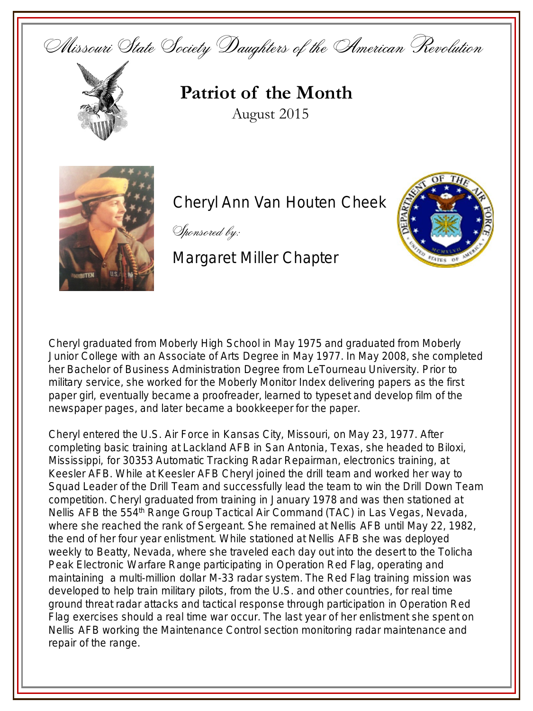Missouri State Society Daughters of the American Revolution



## **Patriot of the Month** August 2015



**Cheryl Ann Van Houten Cheek** 

Sponsored by:

Margaret Miller Chapter



Cheryl graduated from Moberly High School in May 1975 and graduated from Moberly Junior College with an Associate of Arts Degree in May 1977. In May 2008, she completed her Bachelor of Business Administration Degree from LeTourneau University. Prior to military service, she worked for the *Moberly Monitor Index* delivering papers as the first paper girl, eventually became a proofreader, learned to typeset and develop film of the newspaper pages, and later became a bookkeeper for the paper.

Cheryl entered the U.S. Air Force in Kansas City, Missouri, on May 23, 1977. After completing basic training at Lackland AFB in San Antonia, Texas, she headed to Biloxi, Mississippi, for 30353 Automatic Tracking Radar Repairman, electronics training, at Keesler AFB. While at Keesler AFB Cheryl joined the drill team and worked her way to Squad Leader of the Drill Team and successfully lead the team to win the Drill Down Team competition. Cheryl graduated from training in January 1978 and was then stationed at Nellis AFB the 554<sup>th</sup> Range Group Tactical Air Command (TAC) in Las Vegas, Nevada, where she reached the rank of Sergeant. She remained at Nellis AFB until May 22, 1982, the end of her four year enlistment. While stationed at Nellis AFB she was deployed weekly to Beatty, Nevada, where she traveled each day out into the desert to the Tolicha Peak Electronic Warfare Range participating in Operation Red Flag, operating and maintaining a multi-million dollar M-33 radar system. The Red Flag training mission was developed to help train military pilots, from the U.S. and other countries, for real time ground threat radar attacks and tactical response through participation in Operation Red Flag exercises should a real time war occur. The last year of her enlistment she spent on Nellis AFB working the Maintenance Control section monitoring radar maintenance and repair of the range.